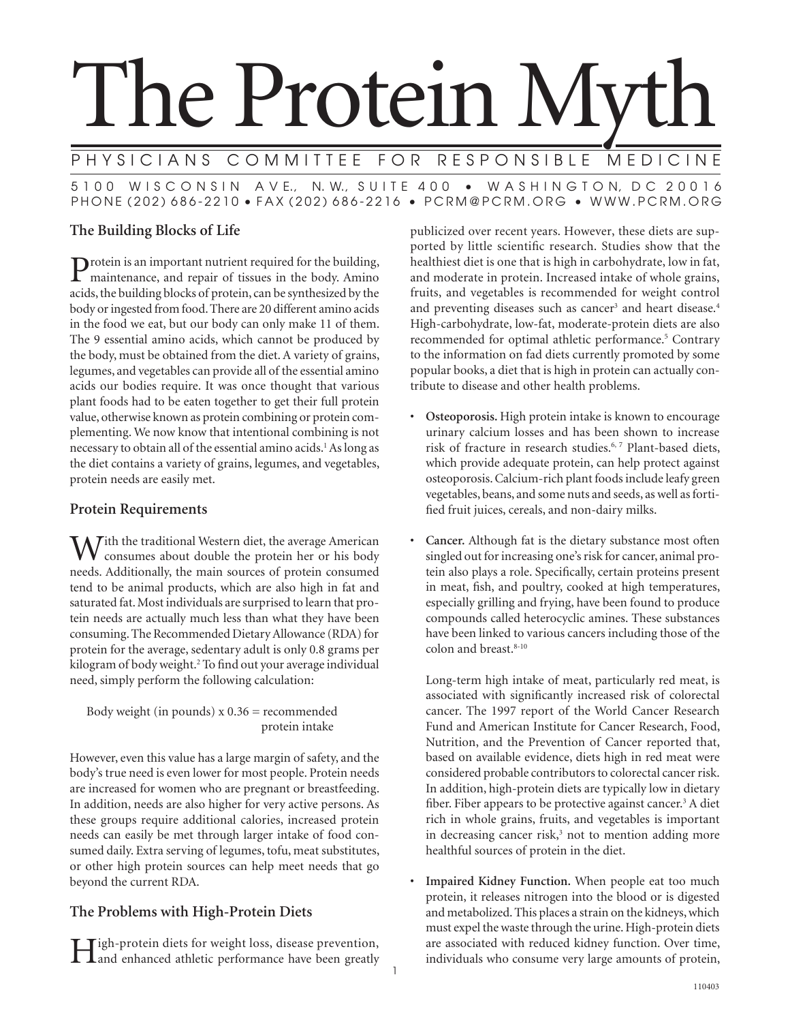# The Protein My

PHYSICIANS COMMITTEE FOR RESPONSIBLE MEDICINE 5 1 0 0 W I S C O N S I N A V E., N. W., S U I T E 4 0 0 • W A S H I N G T O N, D C 2 0 0 1 6 PHONE (202) 686-2210 • FAX (202) 686-2216 • PCRM@PCRM.ORG • WWW.PCRM.ORG

# **The Building Blocks of Life**

Protein is an important nutrient required for the building, maintenance, and repair of tissues in the body. Amino acids, the building blocks of protein, can be synthesized by the body or ingested from food. There are 20 different amino acids in the food we eat, but our body can only make 11 of them. The 9 essential amino acids, which cannot be produced by the body, must be obtained from the diet. A variety of grains, legumes, and vegetables can provide all of the essential amino acids our bodies require. It was once thought that various plant foods had to be eaten together to get their full protein value, otherwise known as protein combining or protein complementing. We now know that intentional combining is not necessary to obtain all of the essential amino acids.<sup>1</sup> As long as the diet contains a variety of grains, legumes, and vegetables, protein needs are easily met.

# **Protein Requirements**

 $M^{\text{th}}$  the traditional Western diet, the average American consumes about double the protein her or his body needs. Additionally, the main sources of protein consumed tend to be animal products, which are also high in fat and saturated fat. Most individuals are surprised to learn that protein needs are actually much less than what they have been consuming. The Recommended Dietary Allowance (RDA) for protein for the average, sedentary adult is only 0.8 grams per kilogram of body weight.2 To find out your average individual need, simply perform the following calculation:

Body weight (in pounds)  $x 0.36$  = recommended protein intake

However, even this value has a large margin of safety, and the body's true need is even lower for most people. Protein needs are increased for women who are pregnant or breastfeeding. In addition, needs are also higher for very active persons. As these groups require additional calories, increased protein needs can easily be met through larger intake of food consumed daily. Extra serving of legumes, tofu, meat substitutes, or other high protein sources can help meet needs that go beyond the current RDA.

# **The Problems with High-Protein Diets**

High-protein diets for weight loss, disease prevention, and enhanced athletic performance have been greatly

publicized over recent years. However, these diets are supported by little scientific research. Studies show that the healthiest diet is one that is high in carbohydrate, low in fat, and moderate in protein. Increased intake of whole grains, fruits, and vegetables is recommended for weight control and preventing diseases such as cancer<sup>3</sup> and heart disease.<sup>4</sup> High-carbohydrate, low-fat, moderate-protein diets are also recommended for optimal athletic performance.<sup>5</sup> Contrary to the information on fad diets currently promoted by some popular books, a diet that is high in protein can actually contribute to disease and other health problems.

- **Osteoporosis.** High protein intake is known to encourage urinary calcium losses and has been shown to increase risk of fracture in research studies.<sup>6,7</sup> Plant-based diets, which provide adequate protein, can help protect against osteoporosis. Calcium-rich plant foods include leafy green vegetables, beans, and some nuts and seeds, as well as fortified fruit juices, cereals, and non-dairy milks.
- **Cancer.** Although fat is the dietary substance most often singled out for increasing one's risk for cancer, animal protein also plays a role. Specifically, certain proteins present in meat, fish, and poultry, cooked at high temperatures, especially grilling and frying, have been found to produce compounds called heterocyclic amines. These substances have been linked to various cancers including those of the colon and breast.<sup>8-10</sup>

 Long-term high intake of meat, particularly red meat, is associated with significantly increased risk of colorectal cancer. The 1997 report of the World Cancer Research Fund and American Institute for Cancer Research, Food, Nutrition, and the Prevention of Cancer reported that, based on available evidence, diets high in red meat were considered probable contributors to colorectal cancer risk. In addition, high-protein diets are typically low in dietary fiber. Fiber appears to be protective against cancer.<sup>3</sup> A diet rich in whole grains, fruits, and vegetables is important in decreasing cancer risk,<sup>3</sup> not to mention adding more healthful sources of protein in the diet.

**• Impaired Kidney Function.** When people eat too much protein, it releases nitrogen into the blood or is digested and metabolized. This places a strain on the kidneys, which must expel the waste through the urine. High-protein diets are associated with reduced kidney function. Over time, individuals who consume very large amounts of protein,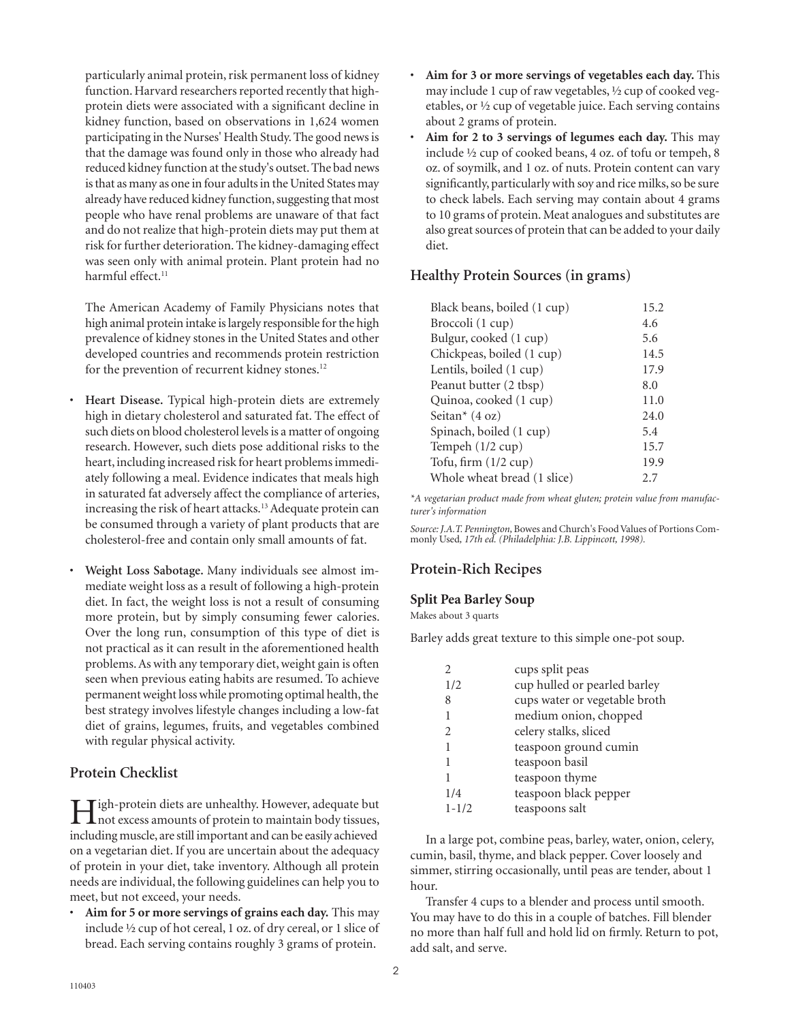particularly animal protein, risk permanent loss of kidney function. Harvard researchers reported recently that highprotein diets were associated with a significant decline in kidney function, based on observations in 1,624 women participating in the Nurses' Health Study. The good news is that the damage was found only in those who already had reduced kidney function at the study's outset. The bad news is that as many as one in four adults in the United States may already have reduced kidney function, suggesting that most people who have renal problems are unaware of that fact and do not realize that high-protein diets may put them at risk for further deterioration. The kidney-damaging effect was seen only with animal protein. Plant protein had no harmful effect.<sup>11</sup>

 The American Academy of Family Physicians notes that high animal protein intake is largely responsible for the high prevalence of kidney stones in the United States and other developed countries and recommends protein restriction for the prevention of recurrent kidney stones.<sup>12</sup>

- **Heart Disease.** Typical high-protein diets are extremely high in dietary cholesterol and saturated fat. The effect of such diets on blood cholesterol levels is a matter of ongoing research. However, such diets pose additional risks to the heart, including increased risk for heart problems immediately following a meal. Evidence indicates that meals high in saturated fat adversely affect the compliance of arteries, increasing the risk of heart attacks.13 Adequate protein can be consumed through a variety of plant products that are cholesterol-free and contain only small amounts of fat.
- **Weight Loss Sabotage.** Many individuals see almost immediate weight loss as a result of following a high-protein diet. In fact, the weight loss is not a result of consuming more protein, but by simply consuming fewer calories. Over the long run, consumption of this type of diet is not practical as it can result in the aforementioned health problems. As with any temporary diet, weight gain is often seen when previous eating habits are resumed. To achieve permanent weight loss while promoting optimal health, the best strategy involves lifestyle changes including a low-fat diet of grains, legumes, fruits, and vegetables combined with regular physical activity.

## **Protein Checklist**

High-protein diets are unhealthy. However, adequate but<br>
interverses amounts of protein to maintain body tissues, including muscle, are still important and can be easily achieved on a vegetarian diet. If you are uncertain about the adequacy of protein in your diet, take inventory. Although all protein needs are individual, the following guidelines can help you to meet, but not exceed, your needs.

• **Aim for 5 or more servings of grains each day.** This may include 1⁄2 cup of hot cereal, 1 oz. of dry cereal, or 1 slice of bread. Each serving contains roughly 3 grams of protein.

- **Aim for 3 or more servings of vegetables each day.** This may include 1 cup of raw vegetables, 1⁄2 cup of cooked vegetables, or 1⁄2 cup of vegetable juice. Each serving contains about 2 grams of protein.
- **Aim for 2 to 3 servings of legumes each day.** This may include 1⁄2 cup of cooked beans, 4 oz. of tofu or tempeh, 8 oz. of soymilk, and 1 oz. of nuts. Protein content can vary significantly, particularly with soy and rice milks, so be sure to check labels. Each serving may contain about 4 grams to 10 grams of protein. Meat analogues and substitutes are also great sources of protein that can be added to your daily diet.

## **Healthy Protein Sources (in grams)**

| 15.2 |
|------|
| 4.6  |
| 5.6  |
| 14.5 |
| 17.9 |
| 8.0  |
| 11.0 |
| 24.0 |
| 5.4  |
| 15.7 |
| 19.9 |
| 27   |
|      |

*\*A vegetarian product made from wheat gluten; protein value from manufacturer's information*

*Source: J.A.T. Pennington,* Bowes and Church's Food Values of Portions Commonly Used*, 17th ed. (Philadelphia: J.B. Lippincott, 1998).*

# **Protein-Rich Recipes**

## **Split Pea Barley Soup**

Makes about 3 quarts

Barley adds great texture to this simple one-pot soup.

|                | cups split peas               |
|----------------|-------------------------------|
| 1/2            | cup hulled or pearled barley  |
| 8              | cups water or vegetable broth |
| 1              | medium onion, chopped         |
| $\mathfrak{D}$ | celery stalks, sliced         |
| 1              | teaspoon ground cumin         |
| 1              | teaspoon basil                |
| 1              | teaspoon thyme                |
| 1/4            | teaspoon black pepper         |
| $1 - 1/2$      | teaspoons salt                |

In a large pot, combine peas, barley, water, onion, celery, cumin, basil, thyme, and black pepper. Cover loosely and simmer, stirring occasionally, until peas are tender, about 1 hour.

Transfer 4 cups to a blender and process until smooth. You may have to do this in a couple of batches. Fill blender no more than half full and hold lid on firmly. Return to pot, add salt, and serve.